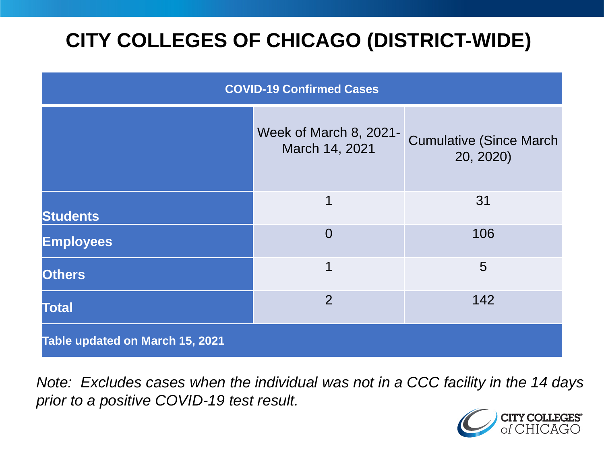# **CITY COLLEGES OF CHICAGO (DISTRICT-WIDE)**

| <b>COVID-19 Confirmed Cases</b> |                                          |                                              |
|---------------------------------|------------------------------------------|----------------------------------------------|
|                                 | Week of March 8, 2021-<br>March 14, 2021 | <b>Cumulative (Since March)</b><br>20, 2020) |
| <b>Students</b>                 | 1                                        | 31                                           |
| <b>Employees</b>                | $\Omega$                                 | 106                                          |
| <b>Others</b>                   | 1                                        | 5                                            |
| <b>Total</b>                    | $\overline{2}$                           | 142                                          |
| Table updated on March 15, 2021 |                                          |                                              |

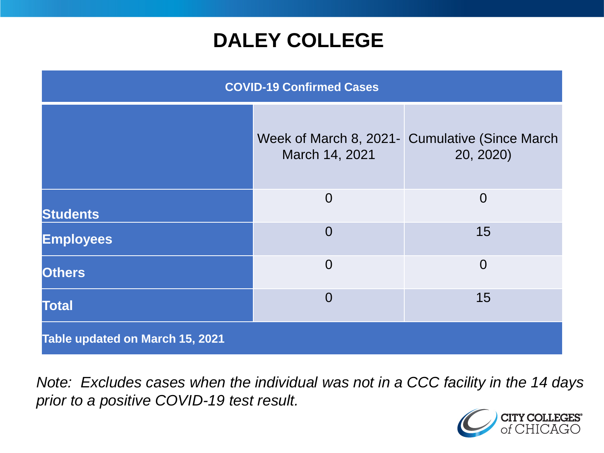### **DALEY COLLEGE**

| <b>COVID-19 Confirmed Cases</b> |                |                                                              |
|---------------------------------|----------------|--------------------------------------------------------------|
|                                 | March 14, 2021 | Week of March 8, 2021 - Cumulative (Since March<br>20, 2020) |
| <b>Students</b>                 | $\Omega$       | $\overline{0}$                                               |
| <b>Employees</b>                | $\overline{0}$ | 15                                                           |
| <b>Others</b>                   | $\overline{0}$ | $\overline{0}$                                               |
| <b>Total</b>                    | $\overline{0}$ | 15                                                           |
| Table updated on March 15, 2021 |                |                                                              |

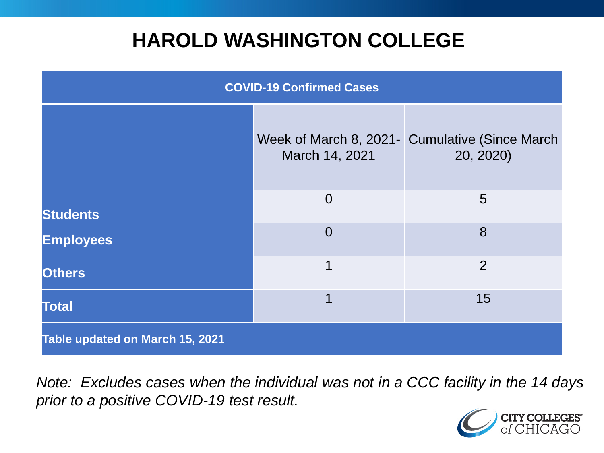### **HAROLD WASHINGTON COLLEGE**

| <b>COVID-19 Confirmed Cases</b> |                                          |                                              |
|---------------------------------|------------------------------------------|----------------------------------------------|
|                                 | Week of March 8, 2021-<br>March 14, 2021 | <b>Cumulative (Since March)</b><br>20, 2020) |
| <b>Students</b>                 | $\overline{0}$                           | 5                                            |
| <b>Employees</b>                | $\Omega$                                 | 8                                            |
| <b>Others</b>                   | 1                                        | $\overline{2}$                               |
| <b>Total</b>                    |                                          | 15                                           |
| Table updated on March 15, 2021 |                                          |                                              |

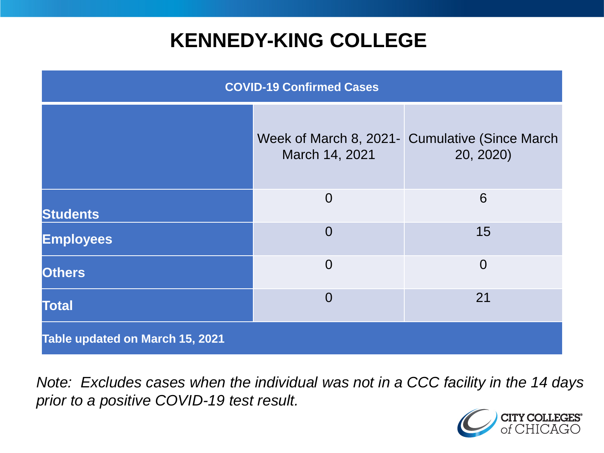## **KENNEDY-KING COLLEGE**

| <b>COVID-19 Confirmed Cases</b> |                                          |                                              |
|---------------------------------|------------------------------------------|----------------------------------------------|
|                                 | Week of March 8, 2021-<br>March 14, 2021 | <b>Cumulative (Since March)</b><br>20, 2020) |
| <b>Students</b>                 | $\overline{0}$                           | 6                                            |
| <b>Employees</b>                | $\overline{0}$                           | 15                                           |
| <b>Others</b>                   | $\overline{0}$                           | $\overline{0}$                               |
| <b>Total</b>                    | $\overline{0}$                           | 21                                           |
| Table updated on March 15, 2021 |                                          |                                              |

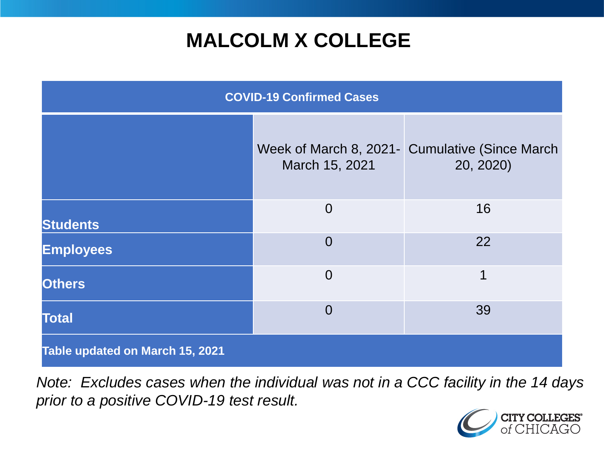# **MALCOLM X COLLEGE**

| <b>COVID-19 Confirmed Cases</b> |                                          |                                              |
|---------------------------------|------------------------------------------|----------------------------------------------|
|                                 | Week of March 8, 2021-<br>March 15, 2021 | <b>Cumulative (Since March)</b><br>20, 2020) |
| <b>Students</b>                 | $\overline{0}$                           | 16                                           |
| <b>Employees</b>                | $\overline{0}$                           | 22                                           |
| <b>Others</b>                   | $\overline{0}$                           | 1                                            |
| <b>Total</b>                    | $\Omega$                                 | 39                                           |
| Table updated on March 15, 2021 |                                          |                                              |

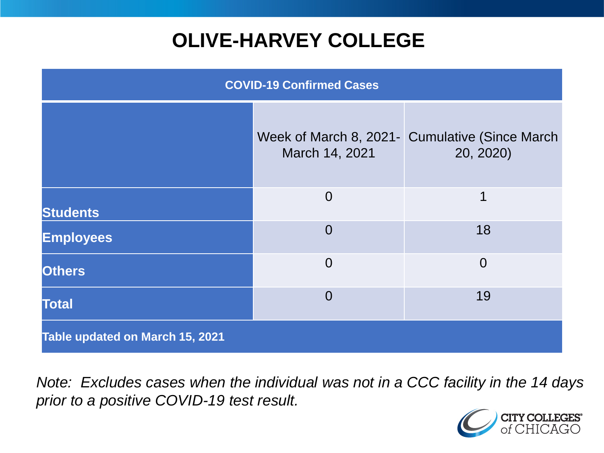# **OLIVE-HARVEY COLLEGE**

| <b>COVID-19 Confirmed Cases</b>        |                                          |                                              |
|----------------------------------------|------------------------------------------|----------------------------------------------|
|                                        | Week of March 8, 2021-<br>March 14, 2021 | <b>Cumulative (Since March)</b><br>20, 2020) |
| <b>Students</b>                        | $\overline{0}$                           | 1                                            |
| <b>Employees</b>                       | $\Omega$                                 | 18                                           |
| <b>Others</b>                          | $\overline{0}$                           | $\overline{0}$                               |
| <b>Total</b>                           | $\Omega$                                 | 19                                           |
| <b>Table updated on March 15, 2021</b> |                                          |                                              |

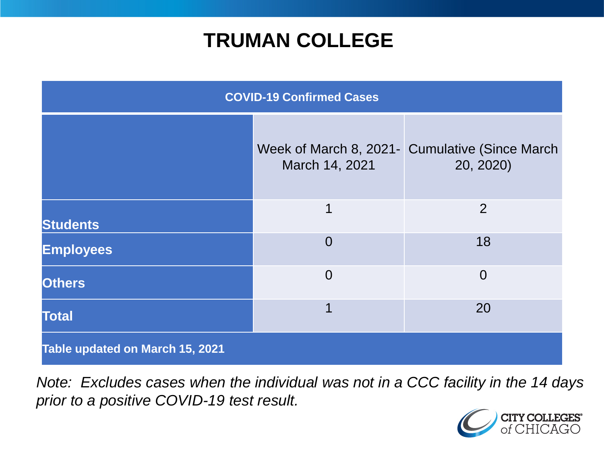### **TRUMAN COLLEGE**

| <b>COVID-19 Confirmed Cases</b> |                |                                                             |
|---------------------------------|----------------|-------------------------------------------------------------|
|                                 | March 14, 2021 | Week of March 8, 2021- Cumulative (Since March<br>20, 2020) |
| <b>Students</b>                 | 1              | $\overline{2}$                                              |
| <b>Employees</b>                | $\overline{0}$ | 18                                                          |
| <b>Others</b>                   | $\overline{0}$ | $\overline{0}$                                              |
| <b>Total</b>                    | 1              | 20                                                          |
| Table updated on March 15, 2021 |                |                                                             |

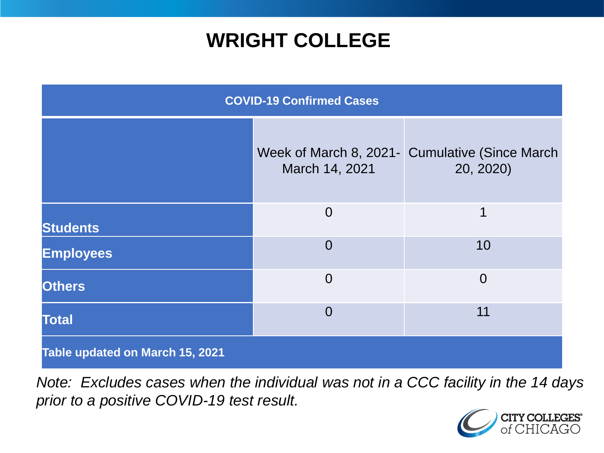### **WRIGHT COLLEGE**

| <b>COVID-19 Confirmed Cases</b> |                |                                                             |
|---------------------------------|----------------|-------------------------------------------------------------|
|                                 | March 14, 2021 | Week of March 8, 2021- Cumulative (Since March<br>20, 2020) |
| <b>Students</b>                 | $\overline{0}$ | 1                                                           |
| <b>Employees</b>                | $\overline{0}$ | 10                                                          |
| <b>Others</b>                   | $\overline{0}$ | $\overline{0}$                                              |
| <b>Total</b>                    | $\overline{0}$ | 11                                                          |
| Table updated on March 15, 2021 |                |                                                             |